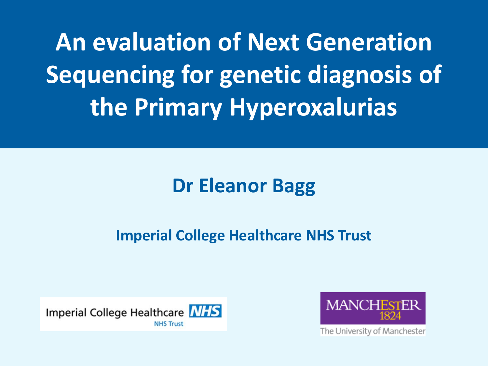**An evaluation of Next Generation Sequencing for genetic diagnosis of the Primary Hyperoxalurias**

#### **Dr Eleanor Bagg**

#### **Imperial College Healthcare NHS Trust**





The University of Manchester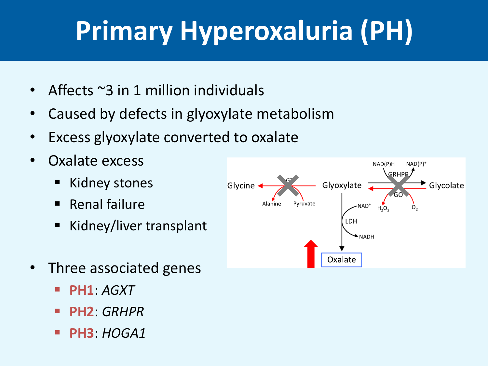# **Primary Hyperoxaluria (PH)**

- Affects ~3 in 1 million individuals
- Caused by defects in glyoxylate metabolism
- Excess glyoxylate converted to oxalate
- Oxalate excess
	- Kidney stones
	- Renal failure
	- Kidney/liver transplant
- Three associated genes
	- **PH1**: *AGXT*
	- **PH2**: *GRHPR*
	- **PH3**: *HOGA1*

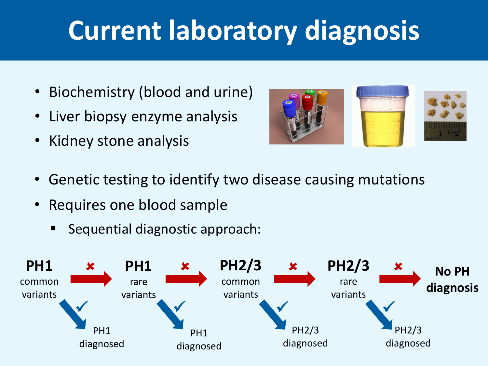### **Current laboratory diagnosis**

- Biochemistry (blood and urine)
- Liver biopsy enzyme analysis
- Kidney stone analysis



- Genetic testing to identify two disease causing mutations
- Requires one blood sample
	- Sequential diagnostic approach:

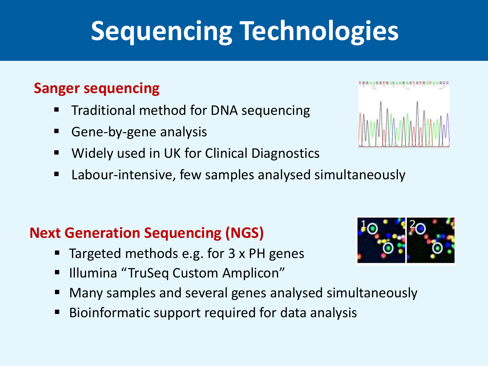# **Sequencing Technologies**

#### **Sanger sequencing**

- **Traditional method for DNA sequencing**
- **Gene-by-gene analysis**
- **Widely used in UK for Clinical Diagnostics**
- Labour-intensive, few samples analysed simultaneously

#### **Next Generation Sequencing (NGS)**

- Targeted methods e.g. for 3 x PH genes
- **Illumina "TruSeq Custom Amplicon"**
- Many samples and several genes analysed simultaneously
- **Bioinformatic support required for data analysis**



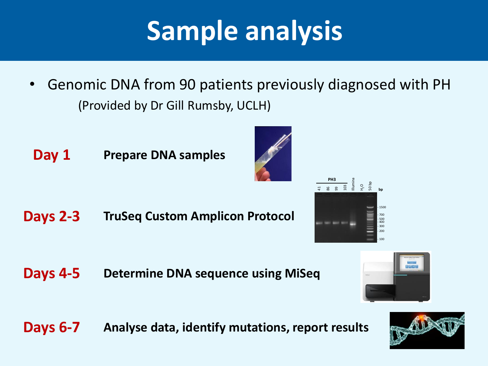## **Sample analysis**

- Genomic DNA from 90 patients previously diagnosed with PH (Provided by Dr Gill Rumsby, UCLH)
- **Day 1 Prepare DNA samples**

**Days 2-3 TruSeq Custom Amplicon Protocol** 500  $n$ 400 -

**Days 4-5 Determine DNA sequence using MiSeq**

**Days 6-7 Analyse data, identify mutations, report results**





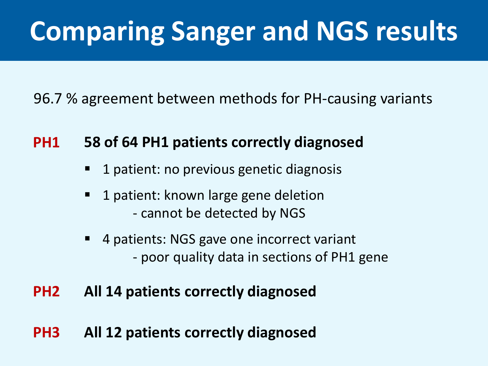## **Comparing Sanger and NGS results**

96.7 % agreement between methods for PH-causing variants

#### **PH1 58 of 64 PH1 patients correctly diagnosed**

- 1 patient: no previous genetic diagnosis
- 1 patient: known large gene deletion - cannot be detected by NGS
- 4 patients: NGS gave one incorrect variant - poor quality data in sections of PH1 gene

#### **PH2 All 14 patients correctly diagnosed**

**PH3 All 12 patients correctly diagnosed**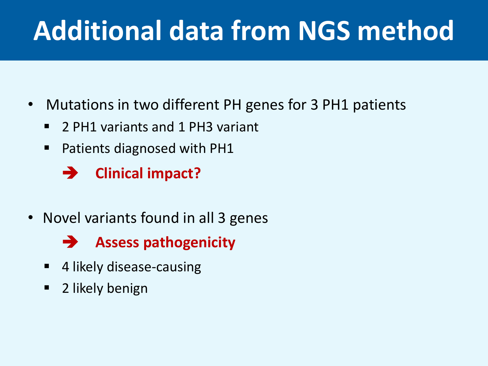### **Additional data from NGS method**

- Mutations in two different PH genes for 3 PH1 patients
	- 2 PH1 variants and 1 PH3 variant
	- **Patients diagnosed with PH1**

**Clinical impact?**

• Novel variants found in all 3 genes



- 4 likely disease-causing
- **2** likely benign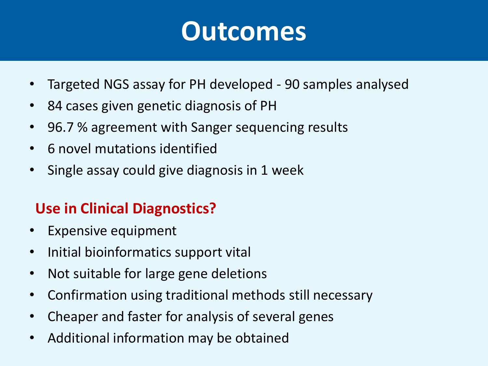#### **Outcomes**

- Targeted NGS assay for PH developed 90 samples analysed
- 84 cases given genetic diagnosis of PH
- 96.7 % agreement with Sanger sequencing results
- 6 novel mutations identified
- Single assay could give diagnosis in 1 week

#### **Use in Clinical Diagnostics?**

- Expensive equipment
- Initial bioinformatics support vital
- Not suitable for large gene deletions
- Confirmation using traditional methods still necessary
- Cheaper and faster for analysis of several genes
- Additional information may be obtained